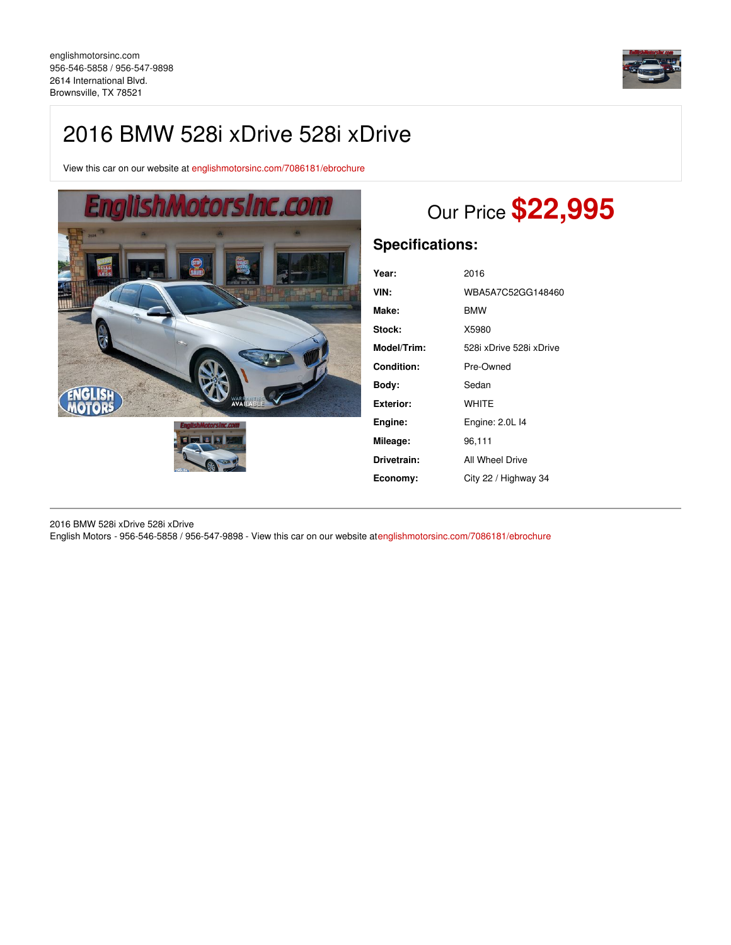

## 2016 BMW 528i xDrive 528i xDrive

View this car on our website at [englishmotorsinc.com/7086181/ebrochure](https://englishmotorsinc.com/vehicle/7086181/2016-bmw-528i-xdrive-528i-xdrive-brownsville-tx-78521/7086181/ebrochure)



# Our Price **\$22,995**

## **Specifications:**

| Year:             | 2016                    |
|-------------------|-------------------------|
| VIN:              | WBA5A7C52GG148460       |
| Make:             | <b>BMW</b>              |
| Stock:            | X5980                   |
| Model/Trim:       | 528i xDrive 528i xDrive |
| <b>Condition:</b> | Pre-Owned               |
| Bodv:             | Sedan                   |
| <b>Exterior:</b>  | WHITE                   |
| Engine:           | Engine: 2.0L 14         |
| Mileage:          | 96,111                  |
| Drivetrain:       | All Wheel Drive         |
| Economy:          | City 22 / Highway 34    |

2016 BMW 528i xDrive 528i xDrive English Motors - 956-546-5858 / 956-547-9898 - View this car on our website a[tenglishmotorsinc.com/7086181/ebrochure](https://englishmotorsinc.com/vehicle/7086181/2016-bmw-528i-xdrive-528i-xdrive-brownsville-tx-78521/7086181/ebrochure)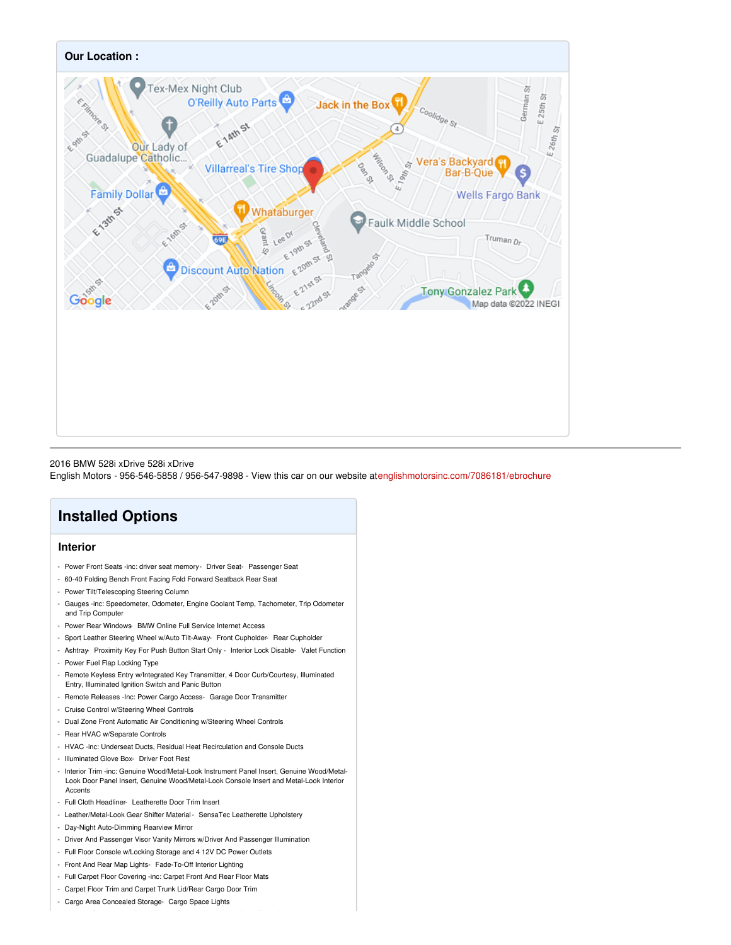

#### 2016 BMW 528i xDrive 528i xDrive

English Motors - 956-546-5858 / 956-547-9898 - View this car on our website a[tenglishmotorsinc.com/7086181/ebrochure](https://englishmotorsinc.com/vehicle/7086181/2016-bmw-528i-xdrive-528i-xdrive-brownsville-tx-78521/7086181/ebrochure)

## **Installed Options**

## **Interior**

- Power Front Seats -inc: driver seat memory- Driver Seat- Passenger Seat
- 60-40 Folding Bench Front Facing Fold Forward Seatback Rear Seat
- Power Tilt/Telescoping Steering Column
- Gauges -inc: Speedometer, Odometer, Engine Coolant Temp, Tachometer, Trip Odometer and Trip Computer
- Power Rear Windows- BMW Online Full Service Internet Access
- Sport Leather Steering Wheel w/Auto Tilt-Away- Front Cupholder- Rear Cupholder
- Ashtray- Proximity Key For Push Button Start Only Interior Lock Disable- Valet Function - Power Fuel Flap Locking Type
- Remote Keyless Entry w/Integrated Key Transmitter, 4 Door Curb/Courtesy, Illuminated Entry, Illuminated Ignition Switch and Panic Button
- Remote Releases -Inc: Power Cargo Access- Garage Door Transmitter
- Cruise Control w/Steering Wheel Controls
- Dual Zone Front Automatic Air Conditioning w/Steering Wheel Controls
- Rear HVAC w/Separate Controls
- HVAC -inc: Underseat Ducts, Residual Heat Recirculation and Console Ducts
- Illuminated Glove Box- Driver Foot Rest
- Interior Trim -inc: Genuine Wood/Metal-Look Instrument Panel Insert, Genuine Wood/Metal-Look Door Panel Insert, Genuine Wood/Metal-Look Console Insert and Metal-Look Interior Accents
- Full Cloth Headliner- Leatherette Door Trim Insert
- Leather/Metal-Look Gear Shifter Material- SensaTec Leatherette Upholstery
- Day-Night Auto-Dimming Rearview Mirror
- Driver And Passenger Visor Vanity Mirrors w/Driver And Passenger Illumination
- Full Floor Console w/Locking Storage and 4 12V DC Power Outlets
- Front And Rear Map Lights- Fade-To-Off Interior Lighting
- Full Carpet Floor Covering -inc: Carpet Front And Rear Floor Mats
- Carpet Floor Trim and Carpet Trunk Lid/Rear Cargo Door Trim
- Cargo Area Concealed Storage- Cargo Space Lights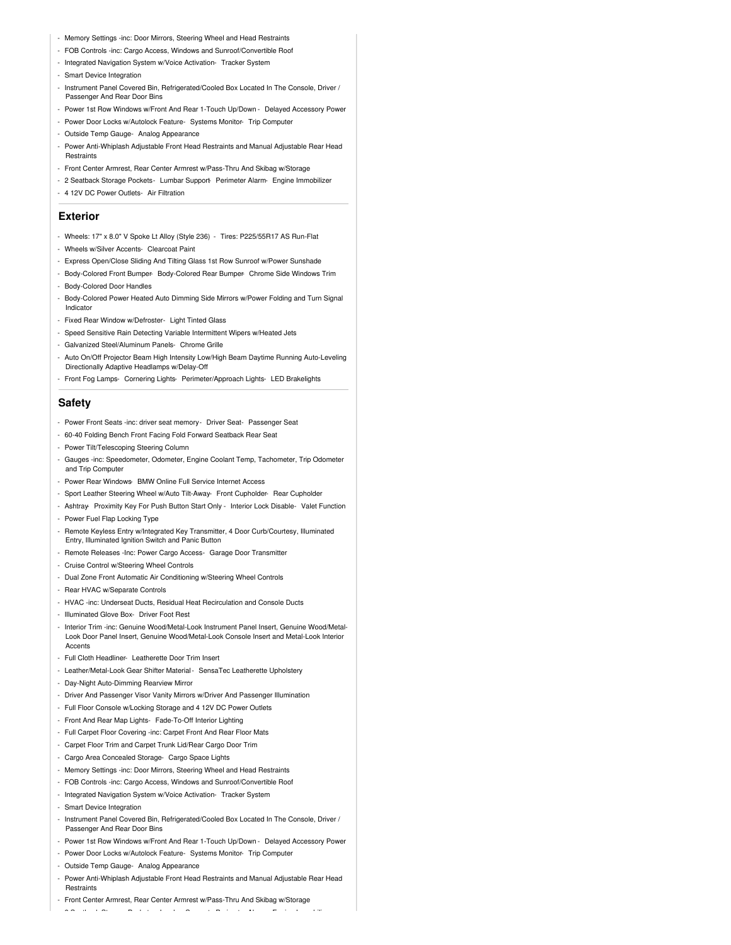- Memory Settings -inc: Door Mirrors, Steering Wheel and Head Restraints
- FOB Controls -inc: Cargo Access, Windows and Sunroof/Convertible Roof
- Integrated Navigation System w/Voice Activation- Tracker System
- Smart Device Integration
- Instrument Panel Covered Bin, Refrigerated/Cooled Box Located In The Console, Driver / Passenger And Rear Door Bins
- Power 1st Row Windows w/Front And Rear 1-Touch Up/Down Delayed Accessory Power
- Power Door Locks w/Autolock Feature- Systems Monitor- Trip Computer
- Outside Temp Gauge- Analog Appearance
- Power Anti-Whiplash Adjustable Front Head Restraints and Manual Adjustable Rear Head Restraints
- Front Center Armrest, Rear Center Armrest w/Pass-Thru And Skibag w/Storage
- 2 Seatback Storage Pockets- Lumbar Support- Perimeter Alarm- Engine Immobilizer
- 4 12V DC Power Outlets- Air Filtration

## **Exterior**

- Wheels: 17" x 8.0" V Spoke Lt Alloy (Style 236) Tires: P225/55R17 AS Run-Flat
- Wheels w/Silver Accents- Clearcoat Paint
- Express Open/Close Sliding And Tilting Glass 1st Row Sunroof w/Power Sunshade
- Body-Colored Front Bumper- Body-Colored Rear Bumper- Chrome Side Windows Trim - Body-Colored Door Handles
- Body-Colored Power Heated Auto Dimming Side Mirrors w/Power Folding and Turn Signal Indicator
- Fixed Rear Window w/Defroster- Light Tinted Glass
- Speed Sensitive Rain Detecting Variable Intermittent Wipers w/Heated Jets
- Galvanized Steel/Aluminum Panels- Chrome Grille
- Auto On/Off Projector Beam High Intensity Low/High Beam Daytime Running Auto-Leveling Directionally Adaptive Headlamps w/Delay-Off
- Front Fog Lamps- Cornering Lights- Perimeter/Approach Lights- LED Brakelights

### **Safety**

- Power Front Seats -inc: driver seat memory- Driver Seat- Passenger Seat
- 60-40 Folding Bench Front Facing Fold Forward Seatback Rear Seat
- Power Tilt/Telescoping Steering Column
- Gauges -inc: Speedometer, Odometer, Engine Coolant Temp, Tachometer, Trip Odometer and Trip Computer
- Power Rear Windows- BMW Online Full Service Internet Access
- Sport Leather Steering Wheel w/Auto Tilt-Away- Front Cupholder- Rear Cupholder
- Ashtray- Proximity Key For Push Button Start Only Interior Lock Disable- Valet Function
- Power Fuel Flap Locking Type
- Remote Keyless Entry w/Integrated Key Transmitter, 4 Door Curb/Courtesy, Illuminated Entry, Illuminated Ignition Switch and Panic Button
- Remote Releases -Inc: Power Cargo Access- Garage Door Transmitter
- Cruise Control w/Steering Wheel Controls
- Dual Zone Front Automatic Air Conditioning w/Steering Wheel Controls
- Rear HVAC w/Separate Controls
- HVAC -inc: Underseat Ducts, Residual Heat Recirculation and Console Ducts
- Illuminated Glove Box- Driver Foot Rest
- Interior Trim -inc: Genuine Wood/Metal-Look Instrument Panel Insert, Genuine Wood/Metal-Look Door Panel Insert, Genuine Wood/Metal-Look Console Insert and Metal-Look Interior Accents
- Full Cloth Headliner- Leatherette Door Trim Insert
- Leather/Metal-Look Gear Shifter Material SensaTec Leatherette Upholstery
- Day-Night Auto-Dimming Rearview Mirror
- Driver And Passenger Visor Vanity Mirrors w/Driver And Passenger Illumination
- Full Floor Console w/Locking Storage and 4 12V DC Power Outlets
- Front And Rear Map Lights- Fade-To-Off Interior Lighting
- Full Carpet Floor Covering -inc: Carpet Front And Rear Floor Mats
- Carpet Floor Trim and Carpet Trunk Lid/Rear Cargo Door Trim
- Cargo Area Concealed Storage- Cargo Space Lights
- Memory Settings -inc: Door Mirrors, Steering Wheel and Head Restraints
- FOB Controls -inc: Cargo Access, Windows and Sunroof/Convertible Roof
- Integrated Navigation System w/Voice Activation- Tracker System
- Smart Device Integration
- Instrument Panel Covered Bin, Refrigerated/Cooled Box Located In The Console, Driver / Passenger And Rear Door Bins
- Power 1st Row Windows w/Front And Rear 1-Touch Up/Down Delayed Accessory Power
- Power Door Locks w/Autolock Feature- Systems Monitor- Trip Computer
- Outside Temp Gauge- Analog Appearance
- Power Anti-Whiplash Adjustable Front Head Restraints and Manual Adjustable Rear Head **Restraints**

- 2 Seatback Storage Pockets- Lumbar Support- Perimeter Alarm- Engine Immobilizer

- Front Center Armrest, Rear Center Armrest w/Pass-Thru And Skibag w/Storage